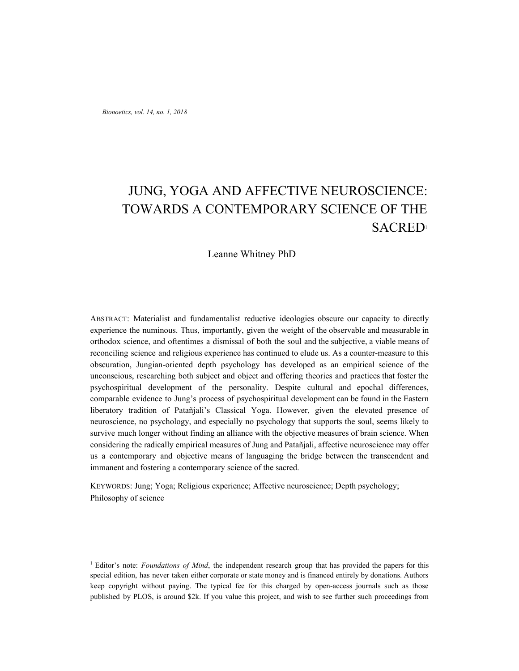# JUNG, YOGA AND AFFECTIVE NEUROSCIENCE: TOWARDS A CONTEMPORARY SCIENCE OF THE SACRED<sup>1</sup>

Leanne Whitney PhD

ABSTRACT: Materialist and fundamentalist reductive ideologies obscure our capacity to directly experience the numinous. Thus, importantly, given the weight of the observable and measurable in orthodox science, and oftentimes a dismissal of both the soul and the subjective, a viable means of reconciling science and religious experience has continued to elude us. As a counter-measure to this obscuration, Jungian-oriented depth psychology has developed as an empirical science of the unconscious, researching both subject and object and offering theories and practices that foster the psychospiritual development of the personality. Despite cultural and epochal differences, comparable evidence to Jung's process of psychospiritual development can be found in the Eastern liberatory tradition of Patañjali's Classical Yoga. However, given the elevated presence of neuroscience, no psychology, and especially no psychology that supports the soul, seems likely to survive much longer without finding an alliance with the objective measures of brain science. When considering the radically empirical measures of Jung and Patañjali, affective neuroscience may offer us a contemporary and objective means of languaging the bridge between the transcendent and immanent and fostering a contemporary science of the sacred.

KEYWORDS: Jung; Yoga; Religious experience; Affective neuroscience; Depth psychology; Philosophy of science

<sup>1</sup> Editor's note: *Foundations of Mind*, the independent research group that has provided the papers for this special edition, has never taken either corporate or state money and is financed entirely by donations. Authors keep copyright without paying. The typical fee for this charged by open-access journals such as those published by PLOS, is around \$2k. If you value this project, and wish to see further such proceedings from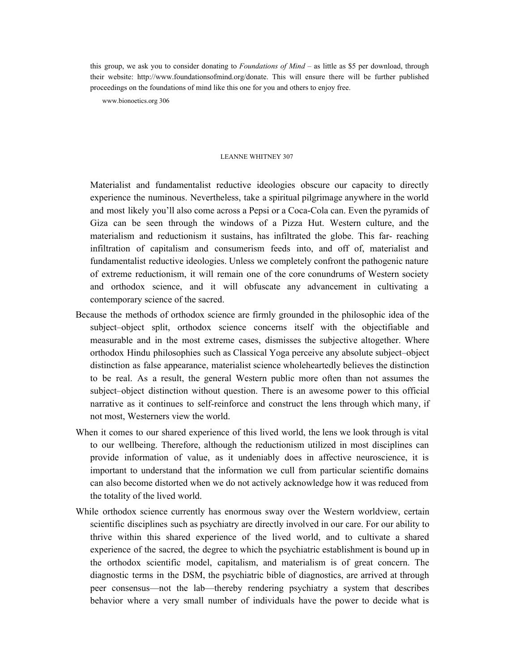this group, we ask you to consider donating to *Foundations of Mind* – as little as \$5 per download, through their website: http://www.foundationsofmind.org/donate. This will ensure there will be further published proceedings on the foundations of mind like this one for you and others to enjoy free.

www.bionoetics.org 306

## LEANNE WHITNEY 307

Materialist and fundamentalist reductive ideologies obscure our capacity to directly experience the numinous. Nevertheless, take a spiritual pilgrimage anywhere in the world and most likely you'll also come across a Pepsi or a Coca-Cola can. Even the pyramids of Giza can be seen through the windows of a Pizza Hut. Western culture, and the materialism and reductionism it sustains, has infiltrated the globe. This far- reaching infiltration of capitalism and consumerism feeds into, and off of, materialist and fundamentalist reductive ideologies. Unless we completely confront the pathogenic nature of extreme reductionism, it will remain one of the core conundrums of Western society and orthodox science, and it will obfuscate any advancement in cultivating a contemporary science of the sacred.

- Because the methods of orthodox science are firmly grounded in the philosophic idea of the subject–object split, orthodox science concerns itself with the objectifiable and measurable and in the most extreme cases, dismisses the subjective altogether. Where orthodox Hindu philosophies such as Classical Yoga perceive any absolute subject–object distinction as false appearance, materialist science wholeheartedly believes the distinction to be real. As a result, the general Western public more often than not assumes the subject–object distinction without question. There is an awesome power to this official narrative as it continues to self-reinforce and construct the lens through which many, if not most, Westerners view the world.
- When it comes to our shared experience of this lived world, the lens we look through is vital to our wellbeing. Therefore, although the reductionism utilized in most disciplines can provide information of value, as it undeniably does in affective neuroscience, it is important to understand that the information we cull from particular scientific domains can also become distorted when we do not actively acknowledge how it was reduced from the totality of the lived world.
- While orthodox science currently has enormous sway over the Western worldview, certain scientific disciplines such as psychiatry are directly involved in our care. For our ability to thrive within this shared experience of the lived world, and to cultivate a shared experience of the sacred, the degree to which the psychiatric establishment is bound up in the orthodox scientific model, capitalism, and materialism is of great concern. The diagnostic terms in the DSM, the psychiatric bible of diagnostics, are arrived at through peer consensus—not the lab—thereby rendering psychiatry a system that describes behavior where a very small number of individuals have the power to decide what is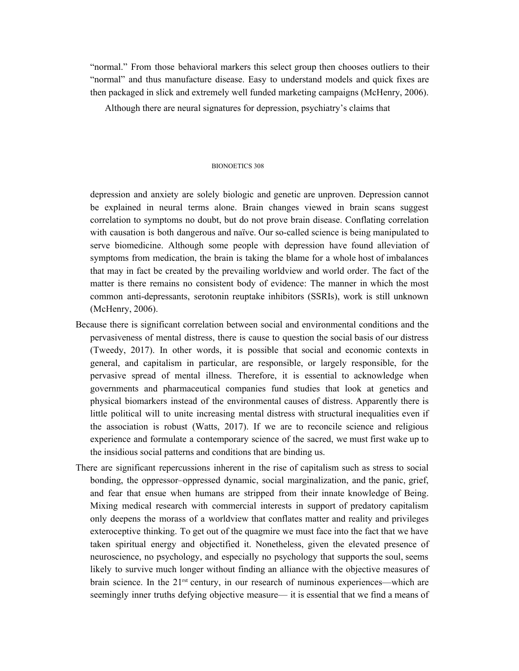"normal." From those behavioral markers this select group then chooses outliers to their "normal" and thus manufacture disease. Easy to understand models and quick fixes are then packaged in slick and extremely well funded marketing campaigns (McHenry, 2006).

Although there are neural signatures for depression, psychiatry's claims that

#### BIONOETICS 308

depression and anxiety are solely biologic and genetic are unproven. Depression cannot be explained in neural terms alone. Brain changes viewed in brain scans suggest correlation to symptoms no doubt, but do not prove brain disease. Conflating correlation with causation is both dangerous and naïve. Our so-called science is being manipulated to serve biomedicine. Although some people with depression have found alleviation of symptoms from medication, the brain is taking the blame for a whole host of imbalances that may in fact be created by the prevailing worldview and world order. The fact of the matter is there remains no consistent body of evidence: The manner in which the most common anti-depressants, serotonin reuptake inhibitors (SSRIs), work is still unknown (McHenry, 2006).

- Because there is significant correlation between social and environmental conditions and the pervasiveness of mental distress, there is cause to question the social basis of our distress (Tweedy, 2017). In other words, it is possible that social and economic contexts in general, and capitalism in particular, are responsible, or largely responsible, for the pervasive spread of mental illness. Therefore, it is essential to acknowledge when governments and pharmaceutical companies fund studies that look at genetics and physical biomarkers instead of the environmental causes of distress. Apparently there is little political will to unite increasing mental distress with structural inequalities even if the association is robust (Watts, 2017). If we are to reconcile science and religious experience and formulate a contemporary science of the sacred, we must first wake up to the insidious social patterns and conditions that are binding us.
- There are significant repercussions inherent in the rise of capitalism such as stress to social bonding, the oppressor–oppressed dynamic, social marginalization, and the panic, grief, and fear that ensue when humans are stripped from their innate knowledge of Being. Mixing medical research with commercial interests in support of predatory capitalism only deepens the morass of a worldview that conflates matter and reality and privileges exteroceptive thinking. To get out of the quagmire we must face into the fact that we have taken spiritual energy and objectified it. Nonetheless, given the elevated presence of neuroscience, no psychology, and especially no psychology that supports the soul, seems likely to survive much longer without finding an alliance with the objective measures of brain science. In the  $21^{\text{rst}}$  century, in our research of numinous experiences—which are seemingly inner truths defying objective measure— it is essential that we find a means of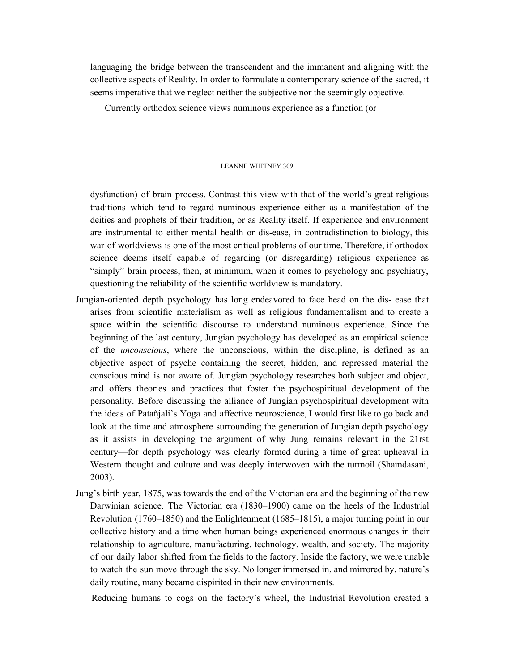languaging the bridge between the transcendent and the immanent and aligning with the collective aspects of Reality. In order to formulate a contemporary science of the sacred, it seems imperative that we neglect neither the subjective nor the seemingly objective.

Currently orthodox science views numinous experience as a function (or

#### LEANNE WHITNEY 309

dysfunction) of brain process. Contrast this view with that of the world's great religious traditions which tend to regard numinous experience either as a manifestation of the deities and prophets of their tradition, or as Reality itself. If experience and environment are instrumental to either mental health or dis-ease, in contradistinction to biology, this war of worldviews is one of the most critical problems of our time. Therefore, if orthodox science deems itself capable of regarding (or disregarding) religious experience as "simply" brain process, then, at minimum, when it comes to psychology and psychiatry, questioning the reliability of the scientific worldview is mandatory.

- Jungian-oriented depth psychology has long endeavored to face head on the dis- ease that arises from scientific materialism as well as religious fundamentalism and to create a space within the scientific discourse to understand numinous experience. Since the beginning of the last century, Jungian psychology has developed as an empirical science of the *unconscious*, where the unconscious, within the discipline, is defined as an objective aspect of psyche containing the secret, hidden, and repressed material the conscious mind is not aware of. Jungian psychology researches both subject and object, and offers theories and practices that foster the psychospiritual development of the personality. Before discussing the alliance of Jungian psychospiritual development with the ideas of Patañjali's Yoga and affective neuroscience, I would first like to go back and look at the time and atmosphere surrounding the generation of Jungian depth psychology as it assists in developing the argument of why Jung remains relevant in the 21rst century—for depth psychology was clearly formed during a time of great upheaval in Western thought and culture and was deeply interwoven with the turmoil (Shamdasani, 2003).
- Jung's birth year, 1875, was towards the end of the Victorian era and the beginning of the new Darwinian science. The Victorian era (1830–1900) came on the heels of the Industrial Revolution (1760–1850) and the Enlightenment (1685–1815), a major turning point in our collective history and a time when human beings experienced enormous changes in their relationship to agriculture, manufacturing, technology, wealth, and society. The majority of our daily labor shifted from the fields to the factory. Inside the factory, we were unable to watch the sun move through the sky. No longer immersed in, and mirrored by, nature's daily routine, many became dispirited in their new environments.

Reducing humans to cogs on the factory's wheel, the Industrial Revolution created a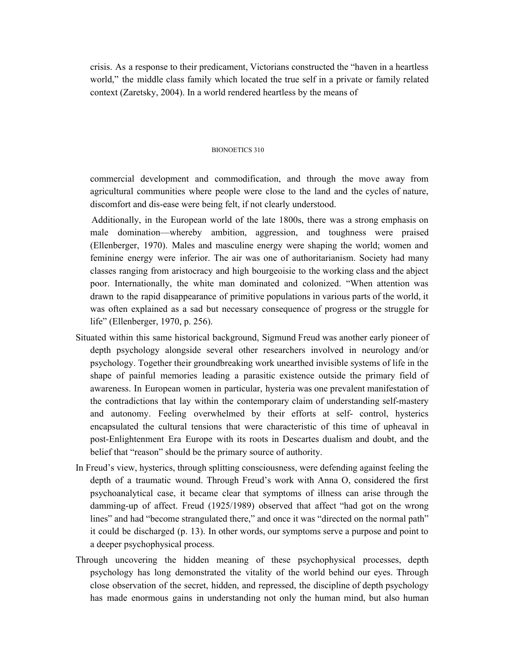crisis. As a response to their predicament, Victorians constructed the "haven in a heartless world," the middle class family which located the true self in a private or family related context (Zaretsky, 2004). In a world rendered heartless by the means of

## BIONOETICS 310

commercial development and commodification, and through the move away from agricultural communities where people were close to the land and the cycles of nature, discomfort and dis-ease were being felt, if not clearly understood.

Additionally, in the European world of the late 1800s, there was a strong emphasis on male domination—whereby ambition, aggression, and toughness were praised (Ellenberger, 1970). Males and masculine energy were shaping the world; women and feminine energy were inferior. The air was one of authoritarianism. Society had many classes ranging from aristocracy and high bourgeoisie to the working class and the abject poor. Internationally, the white man dominated and colonized. "When attention was drawn to the rapid disappearance of primitive populations in various parts of the world, it was often explained as a sad but necessary consequence of progress or the struggle for life" (Ellenberger, 1970, p. 256).

- Situated within this same historical background, Sigmund Freud was another early pioneer of depth psychology alongside several other researchers involved in neurology and/or psychology. Together their groundbreaking work unearthed invisible systems of life in the shape of painful memories leading a parasitic existence outside the primary field of awareness. In European women in particular, hysteria was one prevalent manifestation of the contradictions that lay within the contemporary claim of understanding self-mastery and autonomy. Feeling overwhelmed by their efforts at self- control, hysterics encapsulated the cultural tensions that were characteristic of this time of upheaval in post-Enlightenment Era Europe with its roots in Descartes dualism and doubt, and the belief that "reason" should be the primary source of authority.
- In Freud's view, hysterics, through splitting consciousness, were defending against feeling the depth of a traumatic wound. Through Freud's work with Anna O, considered the first psychoanalytical case, it became clear that symptoms of illness can arise through the damming-up of affect. Freud (1925/1989) observed that affect "had got on the wrong lines" and had "become strangulated there," and once it was "directed on the normal path" it could be discharged (p. 13). In other words, our symptoms serve a purpose and point to a deeper psychophysical process.
- Through uncovering the hidden meaning of these psychophysical processes, depth psychology has long demonstrated the vitality of the world behind our eyes. Through close observation of the secret, hidden, and repressed, the discipline of depth psychology has made enormous gains in understanding not only the human mind, but also human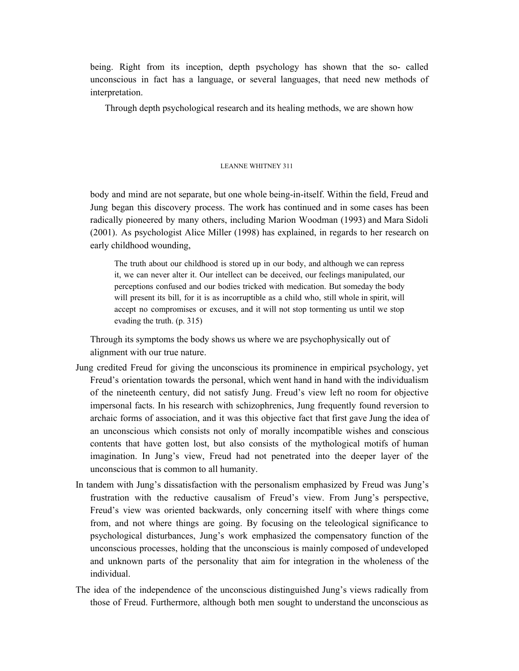being. Right from its inception, depth psychology has shown that the so- called unconscious in fact has a language, or several languages, that need new methods of interpretation.

Through depth psychological research and its healing methods, we are shown how

## LEANNE WHITNEY 311

body and mind are not separate, but one whole being-in-itself. Within the field, Freud and Jung began this discovery process. The work has continued and in some cases has been radically pioneered by many others, including Marion Woodman (1993) and Mara Sidoli (2001). As psychologist Alice Miller (1998) has explained, in regards to her research on early childhood wounding,

The truth about our childhood is stored up in our body, and although we can repress it, we can never alter it. Our intellect can be deceived, our feelings manipulated, our perceptions confused and our bodies tricked with medication. But someday the body will present its bill, for it is as incorruptible as a child who, still whole in spirit, will accept no compromises or excuses, and it will not stop tormenting us until we stop evading the truth. (p. 315)

Through its symptoms the body shows us where we are psychophysically out of alignment with our true nature.

- Jung credited Freud for giving the unconscious its prominence in empirical psychology, yet Freud's orientation towards the personal, which went hand in hand with the individualism of the nineteenth century, did not satisfy Jung. Freud's view left no room for objective impersonal facts. In his research with schizophrenics, Jung frequently found reversion to archaic forms of association, and it was this objective fact that first gave Jung the idea of an unconscious which consists not only of morally incompatible wishes and conscious contents that have gotten lost, but also consists of the mythological motifs of human imagination. In Jung's view, Freud had not penetrated into the deeper layer of the unconscious that is common to all humanity.
- In tandem with Jung's dissatisfaction with the personalism emphasized by Freud was Jung's frustration with the reductive causalism of Freud's view. From Jung's perspective, Freud's view was oriented backwards, only concerning itself with where things come from, and not where things are going. By focusing on the teleological significance to psychological disturbances, Jung's work emphasized the compensatory function of the unconscious processes, holding that the unconscious is mainly composed of undeveloped and unknown parts of the personality that aim for integration in the wholeness of the individual.
- The idea of the independence of the unconscious distinguished Jung's views radically from those of Freud. Furthermore, although both men sought to understand the unconscious as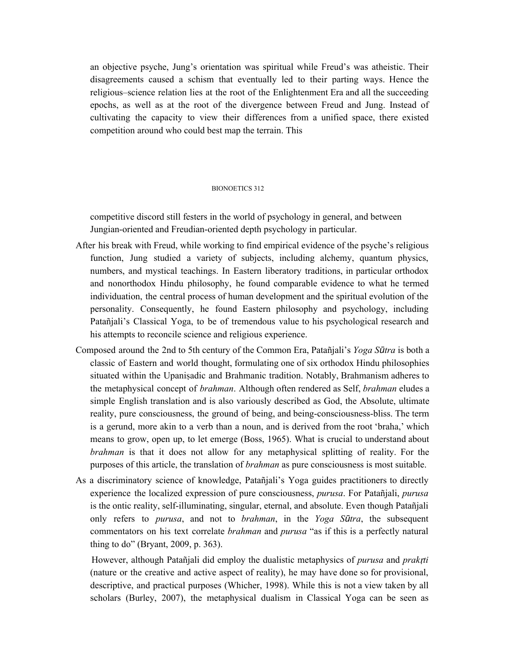an objective psyche, Jung's orientation was spiritual while Freud's was atheistic. Their disagreements caused a schism that eventually led to their parting ways. Hence the religious–science relation lies at the root of the Enlightenment Era and all the succeeding epochs, as well as at the root of the divergence between Freud and Jung. Instead of cultivating the capacity to view their differences from a unified space, there existed competition around who could best map the terrain. This

## BIONOETICS 312

competitive discord still festers in the world of psychology in general, and between Jungian-oriented and Freudian-oriented depth psychology in particular.

- After his break with Freud, while working to find empirical evidence of the psyche's religious function, Jung studied a variety of subjects, including alchemy, quantum physics, numbers, and mystical teachings. In Eastern liberatory traditions, in particular orthodox and nonorthodox Hindu philosophy, he found comparable evidence to what he termed individuation, the central process of human development and the spiritual evolution of the personality. Consequently, he found Eastern philosophy and psychology, including Patañjali's Classical Yoga, to be of tremendous value to his psychological research and his attempts to reconcile science and religious experience.
- Composed around the 2nd to 5th century of the Common Era, Patañjali's *Yoga Sūtra* is both a classic of Eastern and world thought, formulating one of six orthodox Hindu philosophies situated within the Upanisadic and Brahmanic tradition. Notably, Brahmanism adheres to the metaphysical concept of *brahman*. Although often rendered as Self, *brahman* eludes a simple English translation and is also variously described as God, the Absolute, ultimate reality, pure consciousness, the ground of being, and being-consciousness-bliss. The term is a gerund, more akin to a verb than a noun, and is derived from the root 'braha,' which means to grow, open up, to let emerge (Boss, 1965). What is crucial to understand about *brahman* is that it does not allow for any metaphysical splitting of reality. For the purposes of this article, the translation of *brahman* as pure consciousness is most suitable.
- As a discriminatory science of knowledge, Patañjali's Yoga guides practitioners to directly experience the localized expression of pure consciousness, *purusa*. For Patañjali, *purusa* is the ontic reality, self-illuminating, singular, eternal, and absolute. Even though Patañjali only refers to *purusa*, and not to *brahman*, in the *Yoga Sūtra*, the subsequent commentators on his text correlate *brahman* and *purusa* "as if this is a perfectly natural thing to do" (Bryant, 2009, p. 363).

However, although Patañjali did employ the dualistic metaphysics of *purusa* and *prak*ṛ*ti* (nature or the creative and active aspect of reality), he may have done so for provisional, descriptive, and practical purposes (Whicher, 1998). While this is not a view taken by all scholars (Burley, 2007), the metaphysical dualism in Classical Yoga can be seen as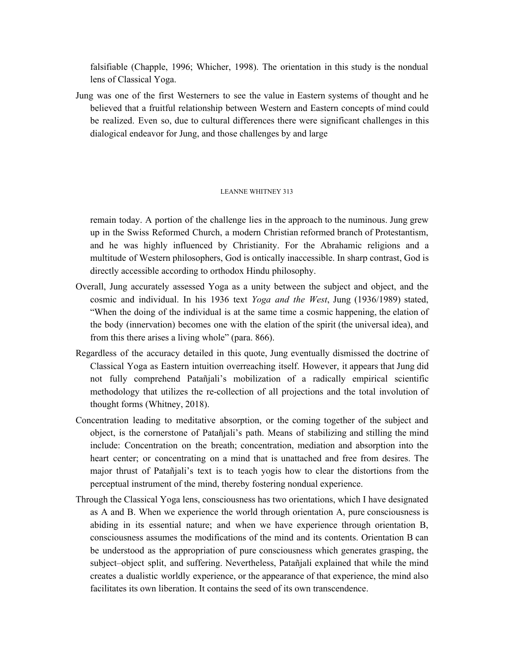falsifiable (Chapple, 1996; Whicher, 1998). The orientation in this study is the nondual lens of Classical Yoga.

Jung was one of the first Westerners to see the value in Eastern systems of thought and he believed that a fruitful relationship between Western and Eastern concepts of mind could be realized. Even so, due to cultural differences there were significant challenges in this dialogical endeavor for Jung, and those challenges by and large

# LEANNE WHITNEY 313

remain today. A portion of the challenge lies in the approach to the numinous. Jung grew up in the Swiss Reformed Church, a modern Christian reformed branch of Protestantism, and he was highly influenced by Christianity. For the Abrahamic religions and a multitude of Western philosophers, God is ontically inaccessible. In sharp contrast, God is directly accessible according to orthodox Hindu philosophy.

- Overall, Jung accurately assessed Yoga as a unity between the subject and object, and the cosmic and individual. In his 1936 text *Yoga and the West*, Jung (1936/1989) stated, "When the doing of the individual is at the same time a cosmic happening, the elation of the body (innervation) becomes one with the elation of the spirit (the universal idea), and from this there arises a living whole" (para. 866).
- Regardless of the accuracy detailed in this quote, Jung eventually dismissed the doctrine of Classical Yoga as Eastern intuition overreaching itself. However, it appears that Jung did not fully comprehend Patañjali's mobilization of a radically empirical scientific methodology that utilizes the re-collection of all projections and the total involution of thought forms (Whitney, 2018).
- Concentration leading to meditative absorption, or the coming together of the subject and object, is the cornerstone of Patañjali's path. Means of stabilizing and stilling the mind include: Concentration on the breath; concentration, mediation and absorption into the heart center; or concentrating on a mind that is unattached and free from desires. The major thrust of Patañjali's text is to teach yogis how to clear the distortions from the perceptual instrument of the mind, thereby fostering nondual experience.
- Through the Classical Yoga lens, consciousness has two orientations, which I have designated as A and B. When we experience the world through orientation A, pure consciousness is abiding in its essential nature; and when we have experience through orientation B, consciousness assumes the modifications of the mind and its contents. Orientation B can be understood as the appropriation of pure consciousness which generates grasping, the subject–object split, and suffering. Nevertheless, Patañjali explained that while the mind creates a dualistic worldly experience, or the appearance of that experience, the mind also facilitates its own liberation. It contains the seed of its own transcendence.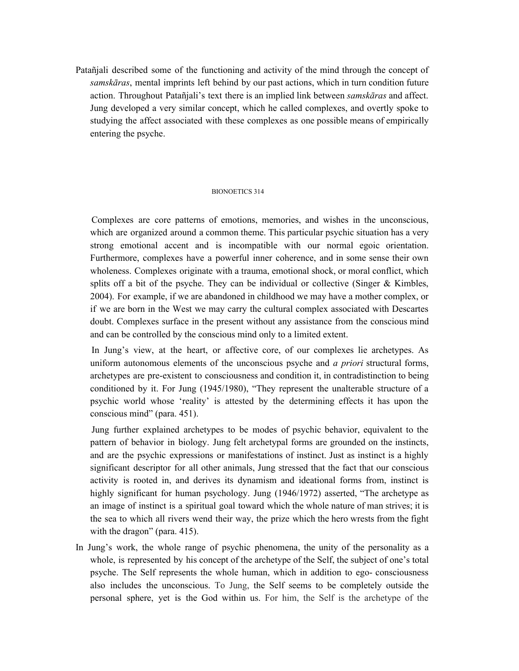Patañjali described some of the functioning and activity of the mind through the concept of *samskāras*, mental imprints left behind by our past actions, which in turn condition future action. Throughout Patañjali's text there is an implied link between *samskāras* and affect. Jung developed a very similar concept, which he called complexes, and overtly spoke to studying the affect associated with these complexes as one possible means of empirically entering the psyche.

## BIONOETICS 314

Complexes are core patterns of emotions, memories, and wishes in the unconscious, which are organized around a common theme. This particular psychic situation has a very strong emotional accent and is incompatible with our normal egoic orientation. Furthermore, complexes have a powerful inner coherence, and in some sense their own wholeness. Complexes originate with a trauma, emotional shock, or moral conflict, which splits off a bit of the psyche. They can be individual or collective (Singer  $\&$  Kimbles, 2004). For example, if we are abandoned in childhood we may have a mother complex, or if we are born in the West we may carry the cultural complex associated with Descartes doubt. Complexes surface in the present without any assistance from the conscious mind and can be controlled by the conscious mind only to a limited extent.

In Jung's view, at the heart, or affective core, of our complexes lie archetypes. As uniform autonomous elements of the unconscious psyche and *a priori* structural forms, archetypes are pre-existent to consciousness and condition it, in contradistinction to being conditioned by it. For Jung (1945/1980), "They represent the unalterable structure of a psychic world whose 'reality' is attested by the determining effects it has upon the conscious mind" (para. 451).

Jung further explained archetypes to be modes of psychic behavior, equivalent to the pattern of behavior in biology. Jung felt archetypal forms are grounded on the instincts, and are the psychic expressions or manifestations of instinct. Just as instinct is a highly significant descriptor for all other animals, Jung stressed that the fact that our conscious activity is rooted in, and derives its dynamism and ideational forms from, instinct is highly significant for human psychology. Jung (1946/1972) asserted, "The archetype as an image of instinct is a spiritual goal toward which the whole nature of man strives; it is the sea to which all rivers wend their way, the prize which the hero wrests from the fight with the dragon" (para. 415).

In Jung's work, the whole range of psychic phenomena, the unity of the personality as a whole, is represented by his concept of the archetype of the Self, the subject of one's total psyche. The Self represents the whole human, which in addition to ego- consciousness also includes the unconscious. To Jung, the Self seems to be completely outside the personal sphere, yet is the God within us. For him, the Self is the archetype of the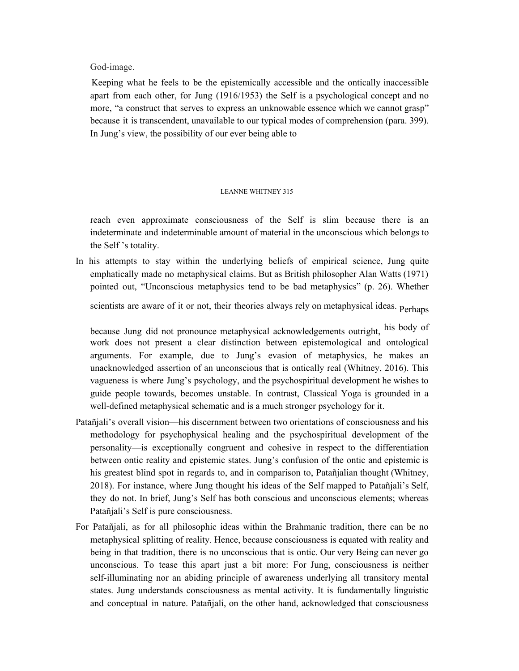God-image.

Keeping what he feels to be the epistemically accessible and the ontically inaccessible apart from each other, for Jung (1916/1953) the Self is a psychological concept and no more, "a construct that serves to express an unknowable essence which we cannot grasp" because it is transcendent, unavailable to our typical modes of comprehension (para. 399). In Jung's view, the possibility of our ever being able to

# LEANNE WHITNEY 315

reach even approximate consciousness of the Self is slim because there is an indeterminate and indeterminable amount of material in the unconscious which belongs to the Self 's totality.

In his attempts to stay within the underlying beliefs of empirical science, Jung quite emphatically made no metaphysical claims. But as British philosopher Alan Watts (1971) pointed out, "Unconscious metaphysics tend to be bad metaphysics" (p. 26). Whether

scientists are aware of it or not, their theories always rely on metaphysical ideas. Perhaps

because Jung did not pronounce metaphysical acknowledgements outright, his body of work does not present a clear distinction between epistemological and ontological arguments. For example, due to Jung's evasion of metaphysics, he makes an unacknowledged assertion of an unconscious that is ontically real (Whitney, 2016). This vagueness is where Jung's psychology, and the psychospiritual development he wishes to guide people towards, becomes unstable. In contrast, Classical Yoga is grounded in a well-defined metaphysical schematic and is a much stronger psychology for it.

- Patañjali's overall vision—his discernment between two orientations of consciousness and his methodology for psychophysical healing and the psychospiritual development of the personality—is exceptionally congruent and cohesive in respect to the differentiation between ontic reality and epistemic states. Jung's confusion of the ontic and epistemic is his greatest blind spot in regards to, and in comparison to, Patañjalian thought (Whitney, 2018). For instance, where Jung thought his ideas of the Self mapped to Patañjali's Self, they do not. In brief, Jung's Self has both conscious and unconscious elements; whereas Patañjali's Self is pure consciousness.
- For Patañjali, as for all philosophic ideas within the Brahmanic tradition, there can be no metaphysical splitting of reality. Hence, because consciousness is equated with reality and being in that tradition, there is no unconscious that is ontic. Our very Being can never go unconscious. To tease this apart just a bit more: For Jung, consciousness is neither self-illuminating nor an abiding principle of awareness underlying all transitory mental states. Jung understands consciousness as mental activity. It is fundamentally linguistic and conceptual in nature. Patañjali, on the other hand, acknowledged that consciousness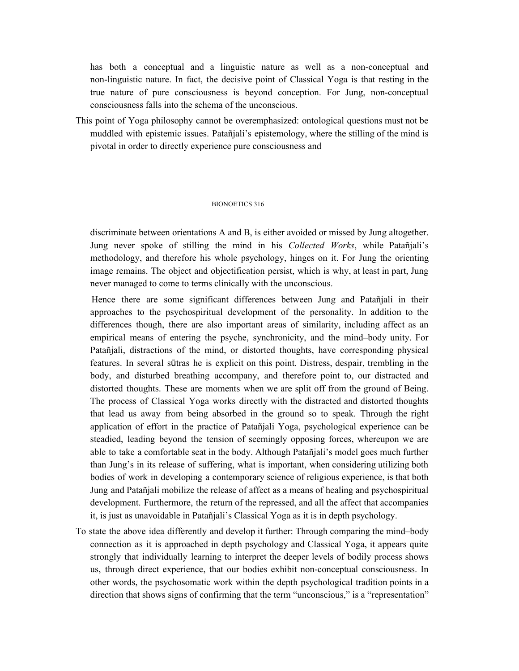has both a conceptual and a linguistic nature as well as a non-conceptual and non-linguistic nature. In fact, the decisive point of Classical Yoga is that resting in the true nature of pure consciousness is beyond conception. For Jung, non-conceptual consciousness falls into the schema of the unconscious.

This point of Yoga philosophy cannot be overemphasized: ontological questions must not be muddled with epistemic issues. Patañjali's epistemology, where the stilling of the mind is pivotal in order to directly experience pure consciousness and

## BIONOETICS 316

discriminate between orientations A and B, is either avoided or missed by Jung altogether. Jung never spoke of stilling the mind in his *Collected Works*, while Patañjali's methodology, and therefore his whole psychology, hinges on it. For Jung the orienting image remains. The object and objectification persist, which is why, at least in part, Jung never managed to come to terms clinically with the unconscious.

Hence there are some significant differences between Jung and Patañjali in their approaches to the psychospiritual development of the personality. In addition to the differences though, there are also important areas of similarity, including affect as an empirical means of entering the psyche, synchronicity, and the mind–body unity. For Patañjali, distractions of the mind, or distorted thoughts, have corresponding physical features. In several sūtras he is explicit on this point. Distress, despair, trembling in the body, and disturbed breathing accompany, and therefore point to, our distracted and distorted thoughts. These are moments when we are split off from the ground of Being. The process of Classical Yoga works directly with the distracted and distorted thoughts that lead us away from being absorbed in the ground so to speak. Through the right application of effort in the practice of Patañjali Yoga, psychological experience can be steadied, leading beyond the tension of seemingly opposing forces, whereupon we are able to take a comfortable seat in the body. Although Patañjali's model goes much further than Jung's in its release of suffering, what is important, when considering utilizing both bodies of work in developing a contemporary science of religious experience, is that both Jung and Patañjali mobilize the release of affect as a means of healing and psychospiritual development. Furthermore, the return of the repressed, and all the affect that accompanies it, is just as unavoidable in Patañjali's Classical Yoga as it is in depth psychology.

To state the above idea differently and develop it further: Through comparing the mind–body connection as it is approached in depth psychology and Classical Yoga, it appears quite strongly that individually learning to interpret the deeper levels of bodily process shows us, through direct experience, that our bodies exhibit non-conceptual consciousness. In other words, the psychosomatic work within the depth psychological tradition points in a direction that shows signs of confirming that the term "unconscious," is a "representation"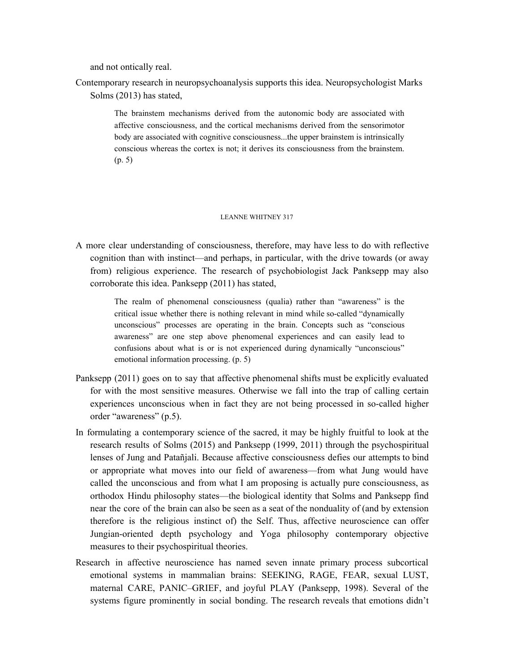and not ontically real.

Contemporary research in neuropsychoanalysis supports this idea. Neuropsychologist Marks Solms (2013) has stated,

> The brainstem mechanisms derived from the autonomic body are associated with affective consciousness, and the cortical mechanisms derived from the sensorimotor body are associated with cognitive consciousness...the upper brainstem is intrinsically conscious whereas the cortex is not; it derives its consciousness from the brainstem. (p. 5)

#### LEANNE WHITNEY 317

A more clear understanding of consciousness, therefore, may have less to do with reflective cognition than with instinct—and perhaps, in particular, with the drive towards (or away from) religious experience. The research of psychobiologist Jack Panksepp may also corroborate this idea. Panksepp (2011) has stated,

> The realm of phenomenal consciousness (qualia) rather than "awareness" is the critical issue whether there is nothing relevant in mind while so-called "dynamically unconscious" processes are operating in the brain. Concepts such as "conscious awareness" are one step above phenomenal experiences and can easily lead to confusions about what is or is not experienced during dynamically "unconscious" emotional information processing. (p. 5)

- Panksepp (2011) goes on to say that affective phenomenal shifts must be explicitly evaluated for with the most sensitive measures. Otherwise we fall into the trap of calling certain experiences unconscious when in fact they are not being processed in so-called higher order "awareness" (p.5).
- In formulating a contemporary science of the sacred, it may be highly fruitful to look at the research results of Solms (2015) and Panksepp (1999, 2011) through the psychospiritual lenses of Jung and Patañjali. Because affective consciousness defies our attempts to bind or appropriate what moves into our field of awareness—from what Jung would have called the unconscious and from what I am proposing is actually pure consciousness, as orthodox Hindu philosophy states—the biological identity that Solms and Panksepp find near the core of the brain can also be seen as a seat of the nonduality of (and by extension therefore is the religious instinct of) the Self. Thus, affective neuroscience can offer Jungian-oriented depth psychology and Yoga philosophy contemporary objective measures to their psychospiritual theories.
- Research in affective neuroscience has named seven innate primary process subcortical emotional systems in mammalian brains: SEEKING, RAGE, FEAR, sexual LUST, maternal CARE, PANIC–GRIEF, and joyful PLAY (Panksepp, 1998). Several of the systems figure prominently in social bonding. The research reveals that emotions didn't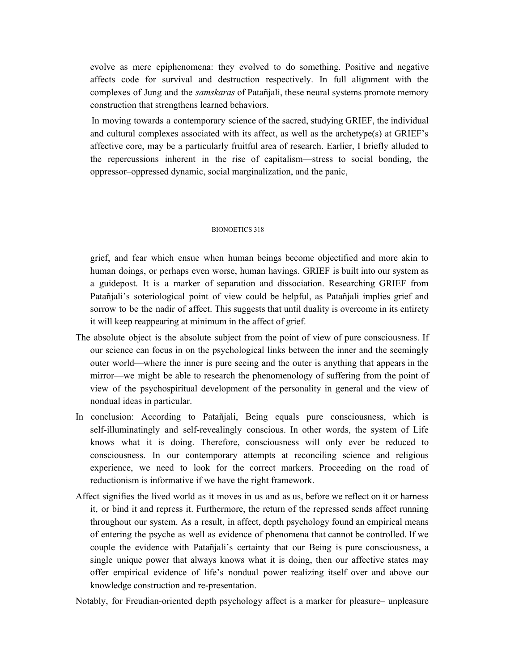evolve as mere epiphenomena: they evolved to do something. Positive and negative affects code for survival and destruction respectively. In full alignment with the complexes of Jung and the *samskaras* of Patañjali, these neural systems promote memory construction that strengthens learned behaviors.

In moving towards a contemporary science of the sacred, studying GRIEF, the individual and cultural complexes associated with its affect, as well as the archetype(s) at GRIEF's affective core, may be a particularly fruitful area of research. Earlier, I briefly alluded to the repercussions inherent in the rise of capitalism—stress to social bonding, the oppressor–oppressed dynamic, social marginalization, and the panic,

## BIONOETICS 318

grief, and fear which ensue when human beings become objectified and more akin to human doings, or perhaps even worse, human havings. GRIEF is built into our system as a guidepost. It is a marker of separation and dissociation. Researching GRIEF from Patañjali's soteriological point of view could be helpful, as Patañjali implies grief and sorrow to be the nadir of affect. This suggests that until duality is overcome in its entirety it will keep reappearing at minimum in the affect of grief.

- The absolute object is the absolute subject from the point of view of pure consciousness. If our science can focus in on the psychological links between the inner and the seemingly outer world—where the inner is pure seeing and the outer is anything that appears in the mirror—we might be able to research the phenomenology of suffering from the point of view of the psychospiritual development of the personality in general and the view of nondual ideas in particular.
- In conclusion: According to Patañjali, Being equals pure consciousness, which is self-illuminatingly and self-revealingly conscious. In other words, the system of Life knows what it is doing. Therefore, consciousness will only ever be reduced to consciousness. In our contemporary attempts at reconciling science and religious experience, we need to look for the correct markers. Proceeding on the road of reductionism is informative if we have the right framework.
- Affect signifies the lived world as it moves in us and as us, before we reflect on it or harness it, or bind it and repress it. Furthermore, the return of the repressed sends affect running throughout our system. As a result, in affect, depth psychology found an empirical means of entering the psyche as well as evidence of phenomena that cannot be controlled. If we couple the evidence with Patañjali's certainty that our Being is pure consciousness, a single unique power that always knows what it is doing, then our affective states may offer empirical evidence of life's nondual power realizing itself over and above our knowledge construction and re-presentation.

Notably, for Freudian-oriented depth psychology affect is a marker for pleasure– unpleasure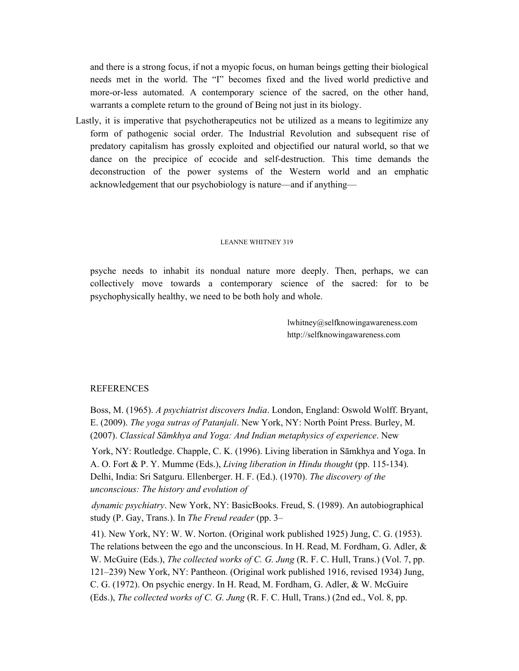and there is a strong focus, if not a myopic focus, on human beings getting their biological needs met in the world. The "I" becomes fixed and the lived world predictive and more-or-less automated. A contemporary science of the sacred, on the other hand, warrants a complete return to the ground of Being not just in its biology.

Lastly, it is imperative that psychotherapeutics not be utilized as a means to legitimize any form of pathogenic social order. The Industrial Revolution and subsequent rise of predatory capitalism has grossly exploited and objectified our natural world, so that we dance on the precipice of ecocide and self-destruction. This time demands the deconstruction of the power systems of the Western world and an emphatic acknowledgement that our psychobiology is nature—and if anything—

#### LEANNE WHITNEY 319

psyche needs to inhabit its nondual nature more deeply. Then, perhaps, we can collectively move towards a contemporary science of the sacred: for to be psychophysically healthy, we need to be both holy and whole.

> lwhitney@selfknowingawareness.com http://selfknowingawareness.com

## REFERENCES

Boss, M. (1965). *A psychiatrist discovers India*. London, England: Oswold Wolff. Bryant, E. (2009). *The yoga sutras of Patanjali*. New York, NY: North Point Press. Burley, M. (2007). *Classical Sāmkhya and Yoga: And Indian metaphysics of experience*. New

York, NY: Routledge. Chapple, C. K. (1996). Living liberation in Sāmkhya and Yoga. In A. O. Fort & P. Y. Mumme (Eds.), *Living liberation in Hindu thought* (pp. 115-134). Delhi, India: Sri Satguru. Ellenberger. H. F. (Ed.). (1970). *The discovery of the unconscious: The history and evolution of*

*dynamic psychiatry*. New York, NY: BasicBooks. Freud, S. (1989). An autobiographical study (P. Gay, Trans.). In *The Freud reader* (pp. 3–

41). New York, NY: W. W. Norton. (Original work published 1925) Jung, C. G. (1953). The relations between the ego and the unconscious. In H. Read, M. Fordham, G. Adler, & W. McGuire (Eds.), *The collected works of C. G. Jung* (R. F. C. Hull, Trans.) (Vol. 7, pp. 121–239) New York, NY: Pantheon. (Original work published 1916, revised 1934) Jung, C. G. (1972). On psychic energy. In H. Read, M. Fordham, G. Adler, & W. McGuire (Eds.), *The collected works of C. G. Jung* (R. F. C. Hull, Trans.) (2nd ed., Vol. 8, pp.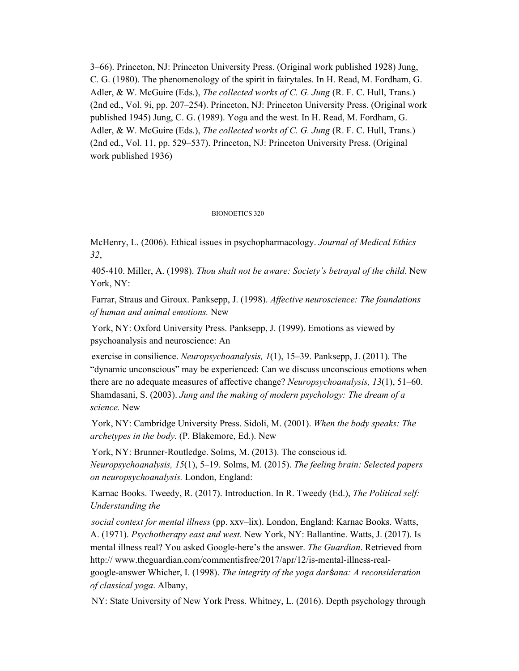3–66). Princeton, NJ: Princeton University Press. (Original work published 1928) Jung, C. G. (1980). The phenomenology of the spirit in fairytales. In H. Read, M. Fordham, G. Adler, & W. McGuire (Eds.), *The collected works of C. G. Jung* (R. F. C. Hull, Trans.) (2nd ed., Vol. 9i, pp. 207–254). Princeton, NJ: Princeton University Press. (Original work published 1945) Jung, C. G. (1989). Yoga and the west. In H. Read, M. Fordham, G. Adler, & W. McGuire (Eds.), *The collected works of C. G. Jung* (R. F. C. Hull, Trans.) (2nd ed., Vol. 11, pp. 529–537). Princeton, NJ: Princeton University Press. (Original work published 1936)

## BIONOETICS 320

McHenry, L. (2006). Ethical issues in psychopharmacology. *Journal of Medical Ethics 32*,

405-410. Miller, A. (1998). *Thou shalt not be aware: Society's betrayal of the child*. New York, NY:

Farrar, Straus and Giroux. Panksepp, J. (1998). *Af ective neuroscience: The foundations of human and animal emotions.* New

York, NY: Oxford University Press. Panksepp, J. (1999). Emotions as viewed by psychoanalysis and neuroscience: An

exercise in consilience. *Neuropsychoanalysis, 1*(1), 15–39. Panksepp, J. (2011). The "dynamic unconscious" may be experienced: Can we discuss unconscious emotions when there are no adequate measures of affective change? *Neuropsychoanalysis, 13*(1), 51–60. Shamdasani, S. (2003). *Jung and the making of modern psychology: The dream of a science.* New

York, NY: Cambridge University Press. Sidoli, M. (2001). *When the body speaks: The archetypes in the body.* (P. Blakemore, Ed.). New

York, NY: Brunner-Routledge. Solms, M. (2013). The conscious id. *Neuropsychoanalysis, 15*(1), 5–19. Solms, M. (2015). *The feeling brain: Selected papers on neuropsychoanalysis.* London, England:

Karnac Books. Tweedy, R. (2017). Introduction. In R. Tweedy (Ed.), *The Political self: Understanding the*

*social context for mental illness* (pp. xxv–lix). London, England: Karnac Books. Watts, A. (1971). *Psychotherapy east and west*. New York, NY: Ballantine. Watts, J. (2017). Is mental illness real? You asked Google-here's the answer. *The Guardian*. Retrieved from http:// www.theguardian.com/commentisfree/2017/apr/12/is-mental-illness-realgoogle-answer Whicher, I. (1998). *The integrity of the yoga darśana: A reconsideration of classical yoga*. Albany,

NY: State University of New York Press. Whitney, L. (2016). Depth psychology through